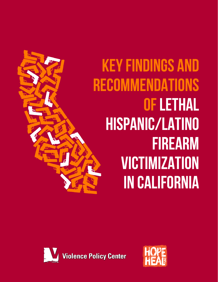# Key Findings and **RECOMMENDATIONS OF LETHAL** Hispanic/Latino **FIREARM VICTIMIZATION** in California



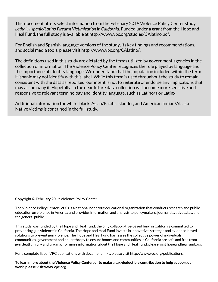This document offers select information from the February 2019 Violence Policy Center study *Lethal Hispanic/Latino Firearm Victimization in California.* Funded under a grant from the Hope and Heal Fund, the full study is available at http://www.vpc.org/studies/CAlatino.pdf.

For English and Spanish language versions of the study, its key findings and recommendations, and social media tools, please visit http://www.vpc.org/CAlatino/.

The definitions used in this study are dictated by the terms utilized by government agencies in the collection of information. The Violence Policy Center recognizes the role played by language and the importance of identity language. We understand that the population included within the term Hispanic may not identify with this label. While this term is used throughout the study to remain consistent with the data as reported, our intent is not to reiterate or endorse any implications that may accompany it. Hopefully, in the near future data collection will become more sensitive and responsive to relevant terminology and identity language, such as Latino/a or Latinx.

Additional information for white, black, Asian/Pacific Islander, and American Indian/Alaska Native victims is contained in the full study.

Copyright © February 2019 Violence Policy Center

The Violence Policy Center (VPC) is a national nonprofit educational organization that conducts research and public education on violence in America and provides information and analysis to policymakers, journalists, advocates, and the general public.

This study was funded by the Hope and Heal Fund, the only collaborative-based fund in California committed to preventing gun violence in California. The Hope and Heal Fund invests in innovative, strategic and evidence-based solutions to prevent gun violence. The Hope and Heal Fund harnesses the collective power of individuals, communities, government and philanthropy to ensure homes and communities in California are safe and free from gun death, injury and trauma. For more information about the Hope and Heal Fund, please visit hopeandhealfund.org.

For a complete list of VPC publications with document links, please visit http://www.vpc.org/publications.

**To learn more about the Violence Policy Center, or to make a tax-deductible contribution to help support our work, please visit www.vpc.org.**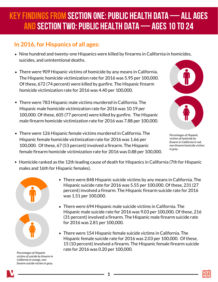## Key Findings from Section One: Public Health Data— All Ages and Section Two: Public Health Data— Ages 10 to 24

#### **In 2016, for Hispanics of all ages:**

- Nine hundred and twenty-one Hispanics were killed by firearms in California in homicides, suicides, and unintentional deaths.
- There were 909 Hispanic victims of homicide by any means in California. The Hispanic homicide victimization rate for 2016 was 5.95 per 100,000. Of these, 672 (74 percent) were killed by gunfire. The Hispanic firearm homicide victimization rate for 2016 was 4.40 per 100,000.
- There were 783 Hispanic male victims murdered in California. The Hispanic male homicide victimization rate for 2016 was 10.19 per 100,000. Of these, 605 (77 percent) were killed by gunfire. The Hispanic male firearm homicide victimization rate for 2016 was 7.88 per 100,000.
- There were 126 Hispanic female victims murdered in California. The Hispanic female homicide victimization rate for 2016 was 1.66 per 100,000. Of these, 67 (53 percent) involved a firearm. The Hispanic female firearm homicide victimization rate for 2016 was 0.88 per 100,000.



*Percentages of Hispanic victims of homicide by firearm in California in red, non-firearm homicide victims in gray.* 

■ Homicide ranked as the 12th leading cause of death for Hispanics in California (7th for Hispanic males and 16th for Hispanic females).



*Percentages of Hispanic victims of suicide by firearm in California in orange, nonfirearm suicide victims in gray.* 

- There were 848 Hispanic suicide victims by any means in California. The Hispanic suicide rate for 2016 was 5.55 per 100,000. Of these, 231 (27 percent) involved a firearm. The Hispanic firearm suicide rate for 2016 was 1.51 per 100,000.
- There were 694 Hispanic male suicide victims in California. The Hispanic male suicide rate for 2016 was 9.03 per 100,000. Of these, 216 (31 percent) involved a firearm. The Hispanic male firearm suicide rate for 2016 was 2.81 per 100,000.
- There were 154 Hispanic female suicide victims in California. The Hispanic female suicide rate for 2016 was 2.03 per 100,000. Of these, 15 (10 percent) involved a firearm. The Hispanic female firearm suicide rate for 2016 was 0.20 per 100,000.

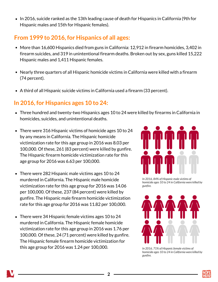In 2016, suicide ranked as the 13th leading cause of death for Hispanics in California (9th for Hispanic males and 15th for Hispanic females).

#### **From 1999 to 2016, for Hispanics of all ages:**

- More than 16,600 Hispanics died from guns in California: 12,912 in firearm homicides, 3,402 in firearm suicides, and 319 in unintentional firearm deaths. Broken out by sex, guns killed 15,222 Hispanic males and 1,411 Hispanic females.
- Nearly three quarters of all Hispanic homicide victims in California were killed with a firearm (74 percent).
- A third of all Hispanic suicide victims in California used a firearm (33 percent).

#### **In 2016, for Hispanics ages 10 to 24:**

- Three hundred and twenty-two Hispanics ages 10 to 24 were killed by firearms in California in homicides, suicides, and unintentional deaths.
- There were 316 Hispanic victims of homicide ages 10 to 24 by any means in California. The Hispanic homicide victimization rate for this age group in 2016 was 8.03 per 100,000. Of these, 261 (83 percent) were killed by gunfire. The Hispanic firearm homicide victimization rate for this age group for 2016 was 6.63 per 100,000.
- There were 282 Hispanic male victims ages 10 to 24 murdered in California. The Hispanic male homicide victimization rate for this age group for 2016 was 14.06 per 100,000. Of these, 237 (84 percent) were killed by gunfire. The Hispanic male firearm homicide victimization rate for this age group for 2016 was 11.82 per 100,000.
- There were 34 Hispanic female victims ages 10 to 24 murdered in California. The Hispanic female homicide victimization rate for this age group in 2016 was 1.76 per 100,000. Of these, 24 (71 percent) were killed by gunfire. The Hispanic female firearm homicide victimization for this age group for 2016 was 1.24 per 100,000.



*In 2016, 84% of Hispanic male victims of homicide ages 10 to 24 in California were killed by gunfire.* 



*In 2016, 71% of Hispanic female victims of homicide ages 10 to 24 in California were killed by gunfire.* 

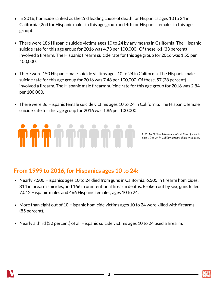- In 2016, homicide ranked as the 2nd leading cause of death for Hispanics ages 10 to 24 in California (2nd for Hispanic males in this age group and 4th for Hispanic females in this age group).
- There were 186 Hispanic suicide victims ages 10 to 24 by any means in California. The Hispanic suicide rate for this age group for 2016 was 4.73 per 100,000. Of these, 61 (33 percent) involved a firearm. The Hispanic firearm suicide rate for this age group for 2016 was 1.55 per 100,000.
- There were 150 Hispanic male suicide victims ages 10 to 24 in California. The Hispanic male suicide rate for this age group for 2016 was 7.48 per 100,000. Of these, 57 (38 percent) involved a firearm. The Hispanic male firearm suicide rate for this age group for 2016 was 2.84 per 100,000.
- There were 36 Hispanic female suicide victims ages 10 to 24 in California. The Hispanic female suicide rate for this age group for 2016 was 1.86 per 100,000.



*In 2016, 38% of Hispanic male victims of suicide ages 10 to 24 in California were killed with guns.* 

#### **From 1999 to 2016, for Hispanics ages 10 to 24:**

- Nearly 7,500 Hispanics ages 10 to 24 died from guns in California: 6,505 in firearm homicides, 814 in firearm suicides, and 166 in unintentional firearm deaths. Broken out by sex, guns killed 7,012 Hispanic males and 466 Hispanic females, ages 10 to 24.
- More than eight out of 10 Hispanic homicide victims ages 10 to 24 were killed with firearms (85 percent).
- Nearly a third (32 percent) of all Hispanic suicide victims ages 10 to 24 used a firearm.

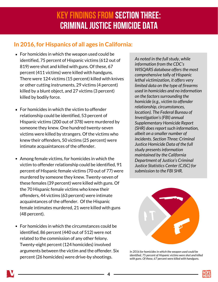## Key Findings from Section Three: Criminal Justice Homicide Data

#### **In 2016, for Hispanics of all ages in California:**

- For homicides in which the weapon used could be identified, 75 percent of Hispanic victims (612 out of 819) were shot and killed with guns. Of these, 67 percent (411 victims) were killed with handguns. There were 124 victims (15 percent) killed with knives or other cutting instruments, 29 victims (4 percent) killed by a blunt object, and 27 victims (3 percent) killed by bodily force.
- For homicides in which the victim to offender relationship could be identified, 53 percent of Hispanic victims (200 out of 378) were murdered by someone they knew. One hundred twenty-seven victims were killed by strangers. Of the victims who knew their offenders, 50 victims (25 percent) were intimate acquaintances of the offender.
- Among female victims, for homicides in which the victim to offender relationship could be identified, 91 percent of Hispanic female victims (70 out of 77) were murdered by someone they knew. Twenty-seven of these females (39 percent) were killed with guns. Of the 70 Hispanic female victims who knew their offenders, 44 victims (63 percent) were intimate acquaintances of the offender. Of the Hispanic female intimates murdered, 21 were killed with guns (48 percent).
- For homicides in which the circumstances could be identified, 86 percent (440 out of 512) were not related to the commission of any other felony. Twenty-eight percent (124 homicides) involved arguments between the victim and the offender. Six percent (26 homicides) were drive-by shootings.

*As noted in the full study, while information from the CDC's WISQARS database offers the most comprehensive tally of Hispanic lethal victimization, it offers very limited data on the type of firearms used in homicides and no information on the factors surrounding the homicide (e.g., victim to offender relationship, circumstances, location). The Federal Bureau of Investigation's (FBI) annual Supplementary Homicide Report (SHR) does report such information, albeit on a smaller number of incidents. Section Three: Criminal Justice Homicide Data of the full study presents information maintained by the California Department of Justice's Criminal Justice Statistics Center (CJSC) for submission to the FBI SHR.* 



**Item 5**

*In 2016 for homicides in which the weapon used could be identified, 75 percent of Hispanic victims were shot and killed with guns. Of these, 67 percent were killed with handguns.* 

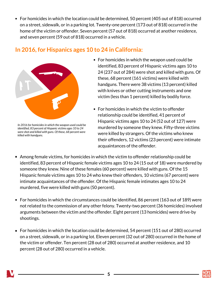■ For homicides in which the location could be determined, 50 percent (405 out of 818) occurred on a street, sidewalk, or in a parking lot. Twenty-one percent (173 out of 818) occurred in the home of the victim or offender. Seven percent (57 out of 818) occurred at another residence, and seven percent (59 out of 818) occurred in a vehicle.

#### **Item 5 In 2016, for Hispanics ages 10 to 24 in California:**



**In 2016 for homicides in which the weapon used could be** *identified, 83 percent of Hispanic victims ages 10 to 24 were shot and killed with guns. Of these, 68 percent were killed with handguns.* 

- For homicides in which the weapon used could be identified, 83 percent of Hispanic victims ages 10 to 24 (237 out of 284) were shot and killed with guns. Of these, 68 percent (161 victims) were killed with handguns. There were 38 victims (13 percent) killed with knives or other cutting instruments and one victim (less than 1 percent) killed by bodily force.
- For homicides in which the victim to offender relationship could be identified, 41 percent of Hispanic victims ages 10 to 24 (52 out of 127) were murdered by someone they knew. Fifty-three victims were killed by strangers. Of the victims who knew their offenders, 12 victims (23 percent) were intimate acquaintances of the offender.
- Among female victims, for homicides in which the victim to offender relationship could be identified, 83 percent of Hispanic female victims ages 10 to 24 (15 out of 18) were murdered by someone they knew. Nine of these females (60 percent) were killed with guns. Of the 15 Hispanic female victims ages 10 to 24 who knew their offenders, 10 victims (67 percent) were intimate acquaintances of the offender. Of the Hispanic female intimates ages 10 to 24 murdered, five were killed with guns (50 percent).
- For homicides in which the circumstances could be identified, 86 percent (163 out of 189) were not related to the commission of any other felony. Twenty-two percent (36 homicides) involved arguments between the victim and the offender. Eight percent (13 homicides) were drive-by shootings.
- For homicides in which the location could be determined, 54 percent (151 out of 280) occurred on a street, sidewalk, or in a parking lot. Eleven percent (32 out of 280) occurred in the home of the victim or offender. Ten percent (28 out of 280) occurred at another residence, and 10 percent (28 out of 280) occurred in a vehicle.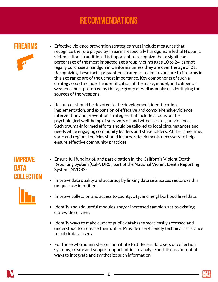## **RECOMMENDATIONS**

#### **FIRFARMS**



- **Effective violence prevention strategies must include measures that** recognize the role played by firearms, especially handguns, in lethal Hispanic victimization. In addition, it is important to recognize that a significant percentage of the most impacted age group, victims ages 10 to 24, cannot legally purchase a handgun in California unless they are over the age of 21. Recognizing these facts, prevention strategies to limit exposure to firearms in this age range are of the utmost importance. Key components of such a strategy could include the identification of the make, model, and caliber of weapons most preferred by this age group as well as analyses identifying the sources of the weapons.
- Resources should be devoted to the development, identification, implementation, and expansion of effective and comprehensive violence intervention and prevention strategies that include a focus on the psychological well-being of survivors of, and witnesses to, gun violence. Such trauma-informed efforts should be tailored to local circumstances and needs while engaging community leaders and stakeholders. At the same time, state and regional policies should incorporate elements necessary to help ensure effective community practices.

#### Improve **DATA** COLLECTION

- Ensure full funding of, and participation in, the California Violent Death Reporting System (Cal-VDRS), part of the National Violent Death Reporting System (NVDRS).
- **Improve data quality and accuracy by linking data sets across sectors with a** unique case identifier.
- 
- **IMPROVE COLLECTION AND ACCESS to COUNTY, CITY, and neighborhood level data.**
- I dentify and add useful modules and/or increased sample sizes to existing statewide surveys.
- Identify ways to make current public databases more easily accessed and understood to increase their utility. Provide user-friendly technical assistance to public data users.
- For those who administer or contribute to different data sets or collection systems, create and support opportunities to analyze and discuss potential ways to integrate and synthesize such information.



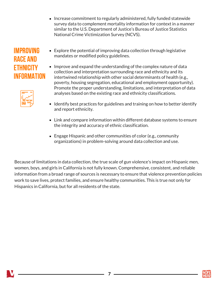Increase commitment to regularly administered, fully funded statewide survey data to complement mortality information for context in a manner similar to the U.S. Department of Justice's Bureau of Justice Statistics National Crime Victimization Survey (NCVS).

### Improving race and **FTHNICITY** information



- Explore the potential of improving data collection through legislative mandates or modified policy guidelines.
- Improve and expand the understanding of the complex nature of data collection and interpretation surrounding race and ethnicity and its intertwined relationship with other social determinants of health (e.g., poverty, housing segregation, educational and employment opportunity). Promote the proper understanding, limitations, and interpretation of data analyses based on the existing race and ethnicity classifications.
- I dentify best practices for guidelines and training on how to better identify and report ethnicity.
- Link and compare information within different database systems to ensure the integrity and accuracy of ethnic classification.
- Engage Hispanic and other communities of color (e.g., community organizations) in problem-solving around data collection and use.

Because of limitations in data collection, the true scale of gun violence's impact on Hispanic men, women, boys, and girls in California is not fully known. Comprehensive, consistent, and reliable information from a broad range of sources is necessary to ensure that violence prevention policies work to save lives, protect families, and ensure healthy communities. This is true not only for Hispanics in California, but for all residents of the state.